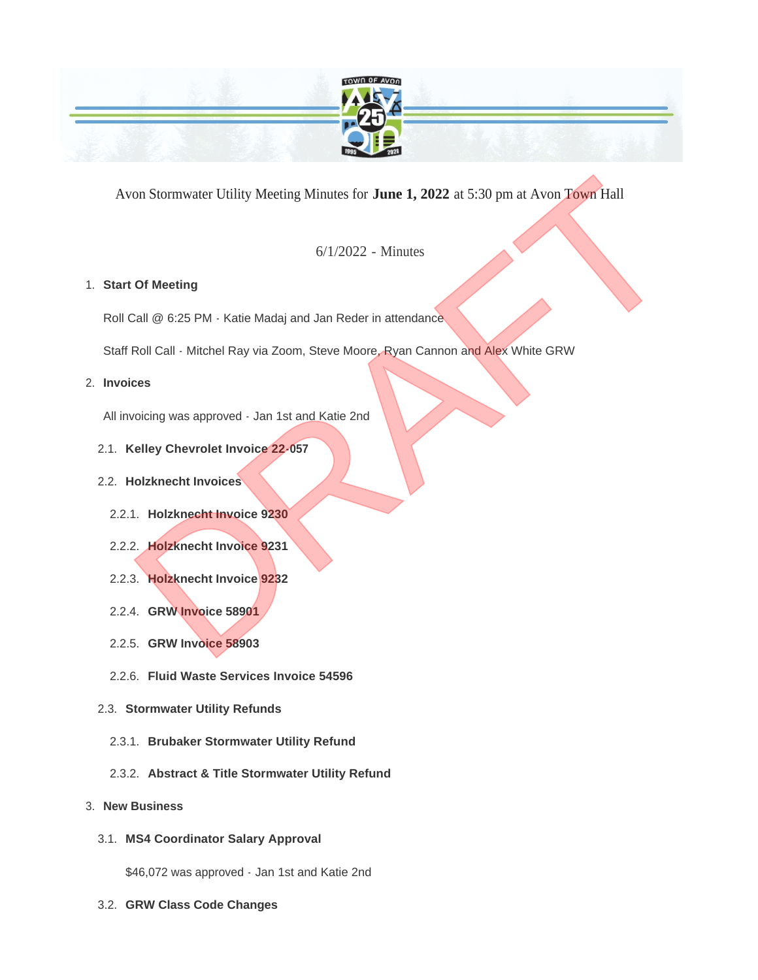

Avon Stormwater Utility Meeting Minutes for **June 1, 2022** at 5:30 pm at Avon Town Hall For Stormwater Utility Meeting Minutes for **June 1, 2022** at 5:30 pm at Avon Town Hall<br>
6/1/2022 - Minutes<br> **Of Meeting**<br>
Dall @ 6:25 PM - Katie Madaj and Jan Reder in attendance<br>
Roll Call - Mitchel Ray via Zoom, Steve Mo

6/1/2022 - Minutes

# **Start Of Meeting** 1.

Roll Call @ 6:25 PM - Katie Madaj and Jan Reder in attendance

Staff Roll Call - Mitchel Ray via Zoom, Steve Moore, Ryan Cannon and Alex White GRW

## **Invoices** 2.

All invoicing was approved - Jan 1st and Katie 2nd

## **Kelley Chevrolet Invoice 22-057** 2.1.

## **Holzknecht Invoices** 2.2.

- **Holzknecht Invoice 9230** 2.2.1.
- **Holzknecht Invoice 9231** 2.2.2.
- **Holzknecht Invoice 9232** 2.2.3.
- **GRW Invoice 58901** 2.2.4.
- **GRW Invoice 58903** 2.2.5.
- **Fluid Waste Services Invoice 54596** 2.2.6.
- **Stormwater Utility Refunds** 2.3.
	- **Brubaker Stormwater Utility Refund** 2.3.1.
	- **Abstract & Title Stormwater Utility Refund** 2.3.2.

## **New Business** 3.

**MS4 Coordinator Salary Approval** 3.1.

\$46,072 was approved - Jan 1st and Katie 2nd

**GRW Class Code Changes** 3.2.